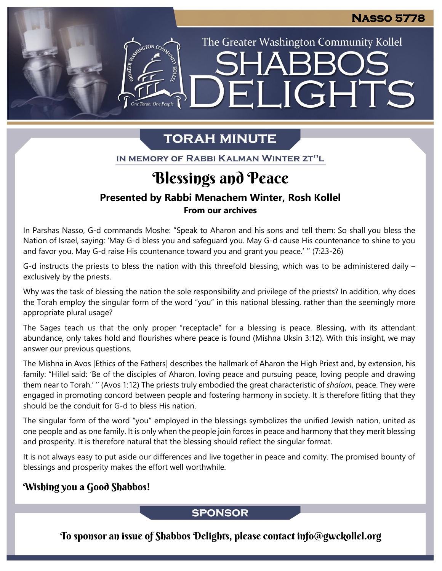The Greater Washington Community Kollel

LIGHTS

# **TORAH MINUTE**

EI

IN MEMORY OF RABBI KALMAN WINTER ZT"L

# Blessings and Peace

#### **Presented by Rabbi Menachem Winter, Rosh Kollel From our archives**

In Parshas Nasso, G-d commands Moshe: "Speak to Aharon and his sons and tell them: So shall you bless the Nation of Israel, saying: 'May G-d bless you and safeguard you. May G-d cause His countenance to shine to you and favor you. May G-d raise His countenance toward you and grant you peace.' '' (7:23-26)

G-d instructs the priests to bless the nation with this threefold blessing, which was to be administered daily – exclusively by the priests.

Why was the task of blessing the nation the sole responsibility and privilege of the priests? In addition, why does the Torah employ the singular form of the word "you" in this national blessing, rather than the seemingly more appropriate plural usage?

The Sages teach us that the only proper "receptacle" for a blessing is peace. Blessing, with its attendant abundance, only takes hold and flourishes where peace is found (Mishna Uksin 3:12). With this insight, we may answer our previous questions.

The Mishna in Avos [Ethics of the Fathers] describes the hallmark of Aharon the High Priest and, by extension, his family: "Hillel said: 'Be of the disciples of Aharon, loving peace and pursuing peace, loving people and drawing them near to Torah.' '' (Avos 1:12) The priests truly embodied the great characteristic of *shalom*, peace. They were engaged in promoting concord between people and fostering harmony in society. It is therefore fitting that they should be the conduit for G-d to bless His nation.

The singular form of the word "you" employed in the blessings symbolizes the unified Jewish nation, united as one people and as one family. It is only when the people join forces in peace and harmony that they merit blessing and prosperity. It is therefore natural that the blessing should reflect the singular format.

It is not always easy to put aside our differences and live together in peace and comity. The promised bounty of blessings and prosperity makes the effort well worthwhile.

## Wishing you a Good Shabbos!

#### **SPONSOR**

To sponsor an issue of Shabbos Delights, please contact info@gwckollel.org